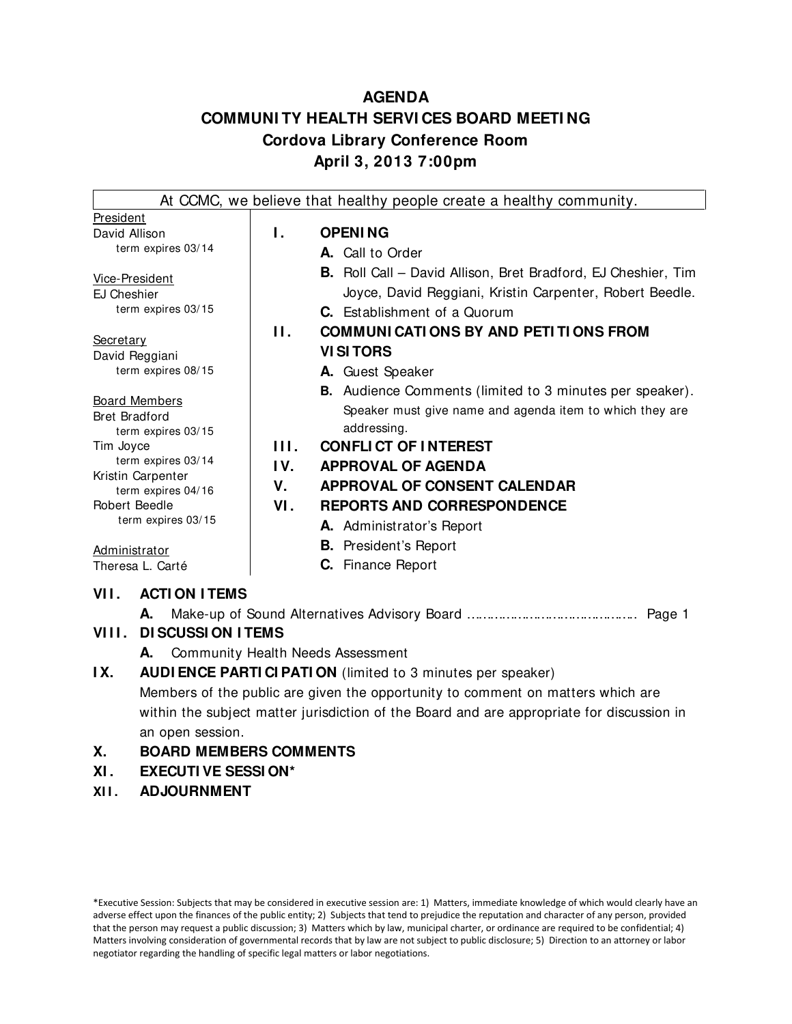## **AGENDA COMMUNI TY HEALTH SERVI CES BOARD MEETI NG Cordova Library Conference Room April 3, 2013 7:00pm**

|                                                                          |            | At CCMC, we believe that healthy people create a healthy community.                                                                                                                                                        |
|--------------------------------------------------------------------------|------------|----------------------------------------------------------------------------------------------------------------------------------------------------------------------------------------------------------------------------|
| President<br>David Allison                                               | Ι.         | <b>OPENING</b>                                                                                                                                                                                                             |
| term expires 03/14                                                       |            | A. Call to Order                                                                                                                                                                                                           |
| Vice-President<br>EJ Cheshier<br>term expires 03/15<br><b>Secretary</b>  | Н.         | <b>B.</b> Roll Call – David Allison, Bret Bradford, EJ Cheshier, Tim<br>Joyce, David Reggiani, Kristin Carpenter, Robert Beedle.<br><b>C.</b> Establishment of a Quorum<br><b>COMMUNI CATI ONS BY AND PETI TI ONS FROM</b> |
| David Reggiani<br>term expires 08/15                                     |            | <b>VISITORS</b><br>A. Guest Speaker                                                                                                                                                                                        |
| <b>Board Members</b><br><b>Bret Bradford</b><br>term expires 03/15       |            | <b>B.</b> Audience Comments (limited to 3 minutes per speaker).<br>Speaker must give name and agenda item to which they are<br>addressing.                                                                                 |
| Tim Joyce<br>term expires 03/14                                          | HL.<br>IV. | <b>CONFLICT OF INTEREST</b><br><b>APPROVAL OF AGENDA</b>                                                                                                                                                                   |
| Kristin Carpenter<br>term expires 04/16<br>Robert Beedle                 | V.<br>VI.  | <b>APPROVAL OF CONSENT CALENDAR</b><br><b>REPORTS AND CORRESPONDENCE</b>                                                                                                                                                   |
| term expires 03/15                                                       |            | A. Administrator's Report                                                                                                                                                                                                  |
| Administrator<br>Theresa L. Carté                                        |            | <b>B.</b> President's Report<br><b>C.</b> Finance Report                                                                                                                                                                   |
| <b>ACTI ON ITEMS</b><br>VII.<br>А.<br><b>DI SCUSSION I TEMS</b><br>VIII. |            | Page 1                                                                                                                                                                                                                     |

- **A.** Community Health Needs Assessment
- **IX.** AUDI ENCE PARTI CIPATION (limited to 3 minutes per speaker) Members of the public are given the opportunity to comment on matters which are within the subject matter jurisdiction of the Board and are appropriate for discussion in an open session.

## **X. BOARD MEMBERS COMMENTS**

- **XI . EXECUTI VE SESSI ON\***
- **XI I . ADJOURNMENT**

\*Executive Session: Subjects that may be considered in executive session are: 1) Matters, immediate knowledge of which would clearly have an adverse effect upon the finances of the public entity; 2) Subjects that tend to prejudice the reputation and character of any person, provided that the person may request a public discussion; 3) Matters which by law, municipal charter, or ordinance are required to be confidential; 4) Matters involving consideration of governmental records that by law are not subject to public disclosure; 5) Direction to an attorney or labor negotiator regarding the handling of specific legal matters or labor negotiations.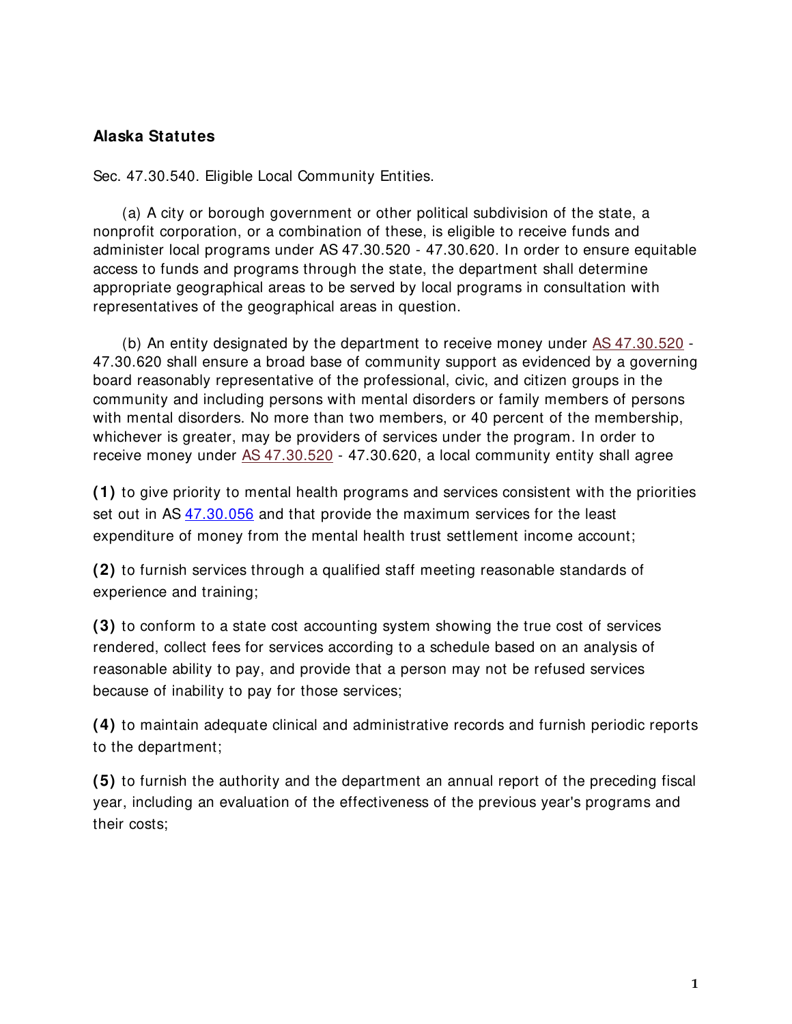## **Alaska Statutes**

Sec. 47.30.540. Eligible Local Community Entities.

(a) A city or borough government or other political subdivision of the state, a nonprofit corporation, or a combination of these, is eligible to receive funds and administer local programs under AS 47.30.520 - 47.30.620. In order to ensure equitable access to funds and programs through the state, the department shall determine appropriate geographical areas to be served by local programs in consultation with representatives of the geographical areas in question.

(b) An entity designated by the department to receive money under [AS 47.30.520](http://www.legis.state.ak.us/basis/folioproxy.asp?url=http://wwwjnu01.legis.state.ak.us/cgi-bin/folioisa.dll/stattx09/query=%5bJUMP:) - 47.30.620 shall ensure a broad base of community support as evidenced by a governing board reasonably representative of the professional, civic, and citizen groups in the community and including persons with mental disorders or family members of persons with mental disorders. No more than two members, or 40 percent of the membership, whichever is greater, may be providers of services under the program. In order to receive money under [AS 47.30.520](http://www.legis.state.ak.us/basis/folioproxy.asp?url=http://wwwjnu01.legis.state.ak.us/cgi-bin/folioisa.dll/stattx09/query=%5bJUMP:) - 47.30.620, a local community entity shall agree

**(1)** to give priority to mental health programs and services consistent with the priorities set out in AS [47.30.056](http://www.touchngo.com/lglcntr/akstats/Statutes/Title47/Chapter30/Section056.htm) and that provide the maximum services for the least expenditure of money from the mental health trust settlement income account;

**(2)** to furnish services through a qualified staff meeting reasonable standards of experience and training;

**(3)** to conform to a state cost accounting system showing the true cost of services rendered, collect fees for services according to a schedule based on an analysis of reasonable ability to pay, and provide that a person may not be refused services because of inability to pay for those services;

**(4)** to maintain adequate clinical and administrative records and furnish periodic reports to the department;

**(5)** to furnish the authority and the department an annual report of the preceding fiscal year, including an evaluation of the effectiveness of the previous year's programs and their costs;